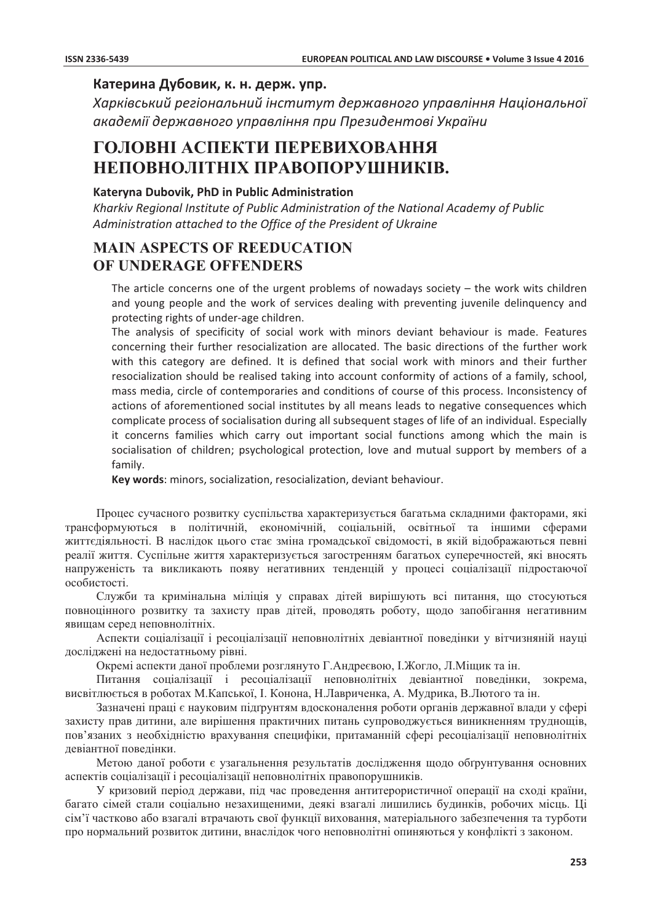## Катерина Дубовик, к. н. держ. упр.

Харківський регіональний інститут державного управління Національної академії державного управління при Президентові України

# ГОЛОВНІ АСПЕКТИ ПЕРЕВИХОВАННЯ НЕПОВНОЛІТНІХ ПРАВОПОРУШНИКІВ.

### Katervna Dubovik. PhD in Public Administration

Kharkiv Regional Institute of Public Administration of the National Academy of Public Administration attached to the Office of the President of Ukraine

# **MAIN ASPECTS OF REEDUCATION** OF UNDERAGE OFFENDERS

The article concerns one of the urgent problems of nowadays society  $-$  the work wits children and young people and the work of services dealing with preventing juvenile delinquency and protecting rights of under-age children.

The analysis of specificity of social work with minors deviant behaviour is made. Features concerning their further resocialization are allocated. The basic directions of the further work with this category are defined. It is defined that social work with minors and their further resocialization should be realised taking into account conformity of actions of a family, school, mass media, circle of contemporaries and conditions of course of this process. Inconsistency of actions of aforementioned social institutes by all means leads to negative consequences which complicate process of socialisation during all subsequent stages of life of an individual. Especially it concerns families which carry out important social functions among which the main is socialisation of children; psychological protection, love and mutual support by members of a family.

Key words: minors, socialization, resocialization, deviant behaviour.

Процес сучасного розвитку суспільства характеризується багатьма складними факторами, які трансформуються в політичній, економічній, соціальній, освітньої та іншими сферами життєдіяльності. В наслідок цього стає зміна громадської свідомості, в якій відображаються певні реалії життя. Суспільне життя характеризується загостренням багатьох суперечностей, які вносять напруженість та викликають появу негативних тенденцій у процесі соціалізації підростаючої особистості.

Служби та кримінальна міліція у справах дітей вирішують всі питання, що стосуються повноцінного розвитку та захисту прав дітей, проводять роботу, щодо запобігання негативним явищам серед неповнолітніх.

Аспекти соціалізації і ресоціалізації неповнолітніх девіантної поведінки у вітчизняній науці досліджені на недостатньому рівні.

Окремі аспекти даної проблеми розглянуто Г.Андреєвою, І.Жогло, Л.Міщик та ін.

Питання соціалізації і ресоціалізації неповнолітніх девіантної поведінки, зокрема, висвітлюється в роботах М. Капської, І. Конона, Н. Лавриченка, А. Мудрика, В. Лютого та ін.

Зазначені праці є науковим підгрунтям вдосконалення роботи органів державної влади у сфері захисту прав дитини, але вирішення практичних питань супроводжується виникненням труднощів, пов'язаних з необхідністю врахування специфіки, притаманній сфері ресоціалізації неповнолітніх девіантної поведінки.

Метою даної роботи є узагальнення результатів дослідження щодо обґрунтування основних аспектів соціалізації і ресоціалізації неповнолітніх правопорушників.

У кризовий період держави, під час проведення антитерористичної операції на сході країни, багато сімей стали соціально незахищеними, деякі взагалі лишились будинків, робочих місць. Ці сім'ї частково або взагалі втрачають свої функції виховання, матеріального забезпечення та турботи про нормальний розвиток дитини, внаслідок чого неповнолітні опиняються у конфлікті з законом.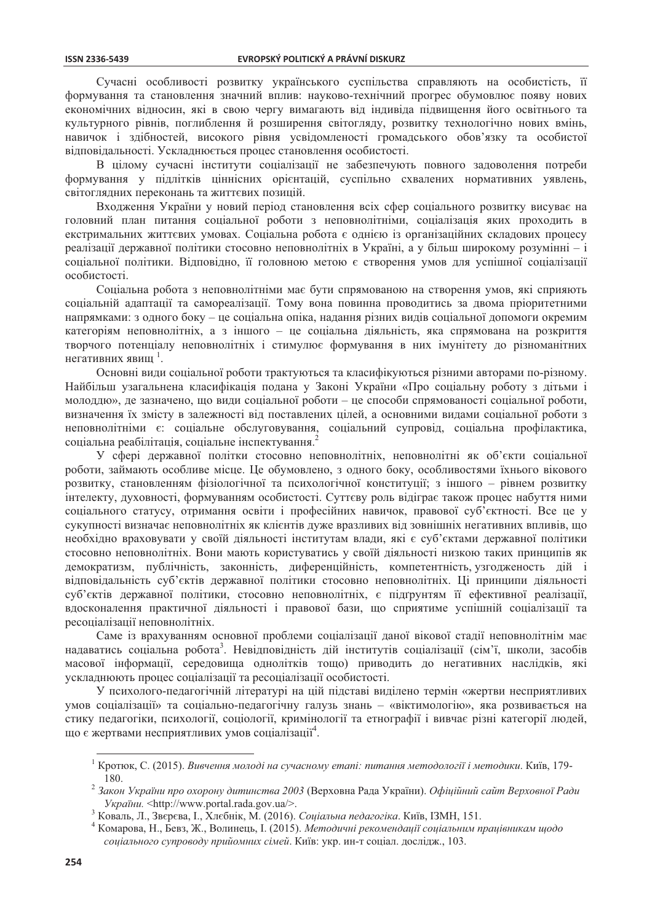Сучасні особливості розвитку українського суспільства справляють на особистість, її формування та становлення значний вплив: науково-технічний прогрес обумовлює появу нових економічних відносин, які в свою чергу вимагають від індивіда підвищення його освітнього та культурного рівнів, поглиблення й розширення світогляду, розвитку технологічно нових вмінь, навичок і здібностей, високого рівня усвідомленості громадського обов'язку та особистої вілповілальності. Ускладнюється процес становлення особистості.

В цілому сучасні інститути соціалізації не забезпечують повного задоволення потреби формування у підлітків ціннісних орієнтацій, суспільно схвалених нормативних уявлень, світоглядних переконань та життєвих позицій.

Входження України у новий період становлення всіх сфер соціального розвитку висуває на головний план питання соціальної роботи з неповнолітніми, соціалізація яких проходить в екстримальних життєвих умовах. Соціальна робота є однією із організаційних складових процесу реалізації державної політики стосовно неповнолітніх в Україні, а у більш широкому розумінні - і соціальної політики. Відповідно, її головною метою є створення умов для успішної соціалізації особистості.

Соціальна робота з неповнолітніми має бути спрямованою на створення умов, які сприяють соціальній адаптації та самореалізації. Тому вона повинна проводитись за двома пріоритетними напрямками: з одного боку - це соціальна опіка, надання різних видів соціальної допомоги окремим категоріям неповнолітніх, а з іншого - це соціальна діяльність, яка спрямована на розкриття творчого потенціалу неповнолітніх і стимулює формування в них імунітету до різноманітних негативних явищ <sup>1</sup>.

Основні види соціальної роботи трактуються та класифікуються різними авторами по-різному. Найбільш узагальнена класифікація подана у Законі України «Про соціальну роботу з дітьми і молоддю», де зазначено, що види соціальної роботи - це способи спрямованості соціальної роботи, визначення їх змісту в залежності від поставлених цілей, а основними видами соціальної роботи з неповнолітніми є: соціальне обслуговування, соціальний супровід, соціальна профілактика, соціальна реабілітація, соціальне інспектування.

У сфері державної політки стосовно неповнолітніх, неповнолітні як об'єкти соціальної роботи, займають особливе місце. Це обумовлено, з одного боку, особливостями їхнього вікового розвитку, становленням фізіологічної та психологічної конституції; з іншого - рівнем розвитку інтелекту, духовності, формуванням особистості. Суттєву роль відіграє також процес набуття ними соціального статусу, отримання освіти і професійних навичок, правової суб'єктності. Все це у сукупності визначає неповнолітніх як клієнтів дуже вразливих від зовнішніх негативних впливів, що необхідно враховувати у своїй діяльності інститутам влади, які є суб'єктами державної політики стосовно неповнолітніх. Вони мають користуватись у своїй діяльності низкою таких принципів як демократизм, публічність, законність, диференційність, компетентність, узгодженость дій і відповідальність суб'єктів державної політики стосовно неповнолітніх. Ці принципи діяльності суб'єктів державної політики, стосовно неповнолітніх, є підгрунтям її ефективної реалізації, вдосконалення практичної діяльності і правової бази, що сприятиме успішній соціалізації та ресоціалізації неповнолітніх.

Саме із врахуванням основної проблеми соціалізації даної вікової стадії неповнолітнім має надаватись соціальна робота<sup>3</sup>. Невідповідність дій інститутів соціалізації (сім'ї, школи, засобів масової інформації, середовища однолітків тощо) приводить до негативних наслідків, які ускладнюють процес соціалізації та ресоціалізації особистості.

У психолого-педагогічній літературі на цій підставі виділено термін «жертви несприятливих умов соціалізації» та соціально-педагогічну галузь знань - «віктимологію», яка розвивається на стику пелагогіки, психології, соціології, кримінології та етнографії і вивчає різні категорії люлей, що є жертвами несприятливих умов соціалізації<sup>4</sup>.

Кротюк, С. (2015). Вивчення молоді на сучасному етапі: питання методології і методики. Київ, 179-180

<sup>&</sup>lt;sup>2</sup> Закон України про охорону дитинства 2003 (Верховна Рада України). Офіційний сайт Верховної Ради України. <http://www.portal.rada.gov.ua/>.

<sup>&</sup>lt;sup>3</sup> Коваль, Л., Зверева, І., Хлебнік, М. (2016). Соціальна педагогіка. Київ, ІЗМН, 151.

<sup>&</sup>lt;sup>4</sup> Комарова, Н., Бевз, Ж., Волинець, І. (2015). Методичні рекомендації соціальним працівникам щодо соціального супроводу прийомних сімей. Київ: укр. ин-т соціал. дослідж., 103.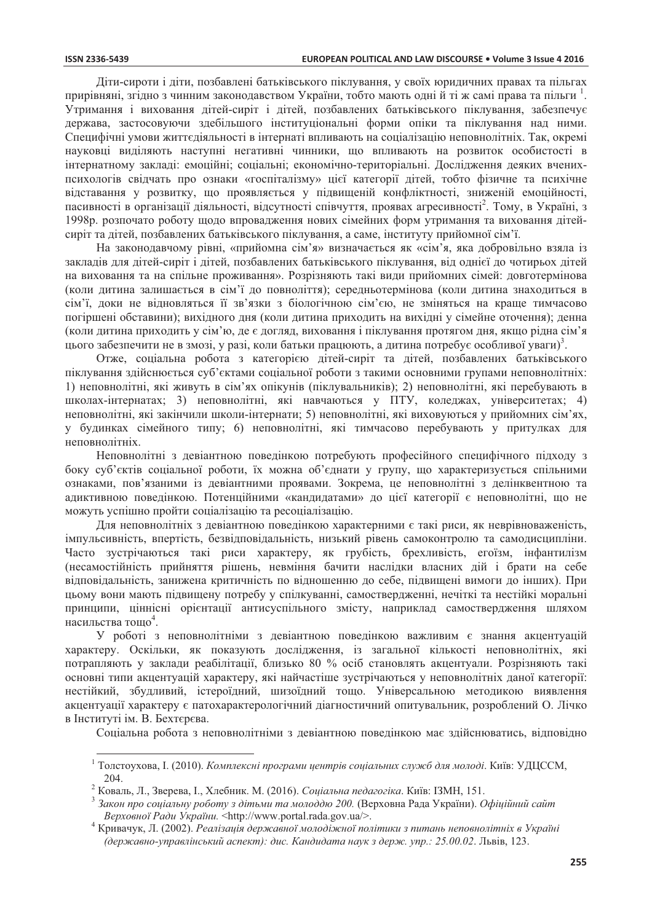Діти-сироти і діти, позбавлені батьківського піклування, у своїх юридичних правах та пільгах прирівняні, згідно з чинним законодавством України, тобто мають одні й ті ж самі права та пільги<sup>1</sup>. Утримання і виховання дітей-сиріт і дітей, позбавлених батьківського піклування, забезпечує держава, застосовуючи здебільшого інституціональні форми опіки та піклування над ними. Специфічні умови життєдіяльності в інтернаті впливають на соціалізацію неповнолітніх. Так, окремі науковці виліляють наступні негативні чинники, що впливають на розвиток особистості в інтернатному закладі: емоційні; соціальні; економічно-територіальні. Дослідження деяких вченихпсихологів свідчать про ознаки «госпіталізму» цієї категорії дітей, тобто фізичне та психічне відставання у розвитку, що проявляється у підвищеній конфліктності, зниженій емоційності, пасивності в організації діяльності, відсутності співчуття, проявах агресивності<sup>2</sup>. Тому, в Україні, з 1998р. розпочато роботу щодо впровадження нових сімейних форм утримання та виховання дітейсиріт та дітей, позбавлених батьківського піклування, а саме, інституту прийомної сім'ї.

На законодавчому рівні, «прийомна сім'я» визначається як «сім'я, яка добровільно взяла із закладів для дітей-сиріт і дітей, позбавлених батьківського піклування, від однієї до чотирьох дітей на виховання та на спільне проживання». Розрізняють такі види прийомних сімей: довготермінова (коли дитина залишається в сім'ї до повноліття); середньотермінова (коли дитина знаходиться в сім'ї, доки не відновляться її зв'язки з біологічною сім'єю, не зміняться на краще тимчасово погіршені обставини); вихідного дня (коли дитина приходить на вихідні у сімейне оточення); денна (коли дитина приходить у сім'ю, де є догляд, виховання і піклування протягом дня, якщо рідна сім'я цього забезпечити не в змозі, у разі, коли батьки працюють, а дитина потребує особливої уваги)<sup>3</sup>.

Отже, соціальна робота з категорією дітей-сиріт та дітей, позбавлених батьківського піклування здійснюється суб'єктами соціальної роботи з такими основними групами неповнолітніх: 1) неповнолітні, які живуть в сім'ях опікунів (піклувальників); 2) неповнолітні, які перебувають в школах-інтернатах; 3) неповнолітні, які навчаються у ПТУ, коледжах, університетах; 4) неповнолітні, які закінчили школи-інтернати; 5) неповнолітні, які виховуються у прийомних сім'ях, у будинках сімейного типу; 6) неповнолітні, які тимчасово перебувають у притулках для неповнолітніх.

Неповнолітні з девіантною поведінкою потребують професійного специфічного підходу з боку суб'єктів соціальної роботи, їх можна об'єднати у групу, що характеризується спільними ознаками, пов'язаними із девіантними проявами. Зокрема, це неповнолітні з делінквентною та адиктивною поведінкою. Потенційними «кандидатами» до цієї категорії є неповнолітні, що не можуть успішно пройти соціалізацію та ресоціалізацію.

Для неповнолітніх з девіантною поведінкою характерними є такі риси, як неврівноваженість, імпульсивність, впертість, безвідповідальність, низький рівень самоконтролю та самодисципліни. Часто зустрічаються такі риси характеру, як грубість, брехливість, егоїзм, інфантилізм (несамостійність прийняття рішень, невміння бачити наслідки власних дій і брати на себе відповідальність, занижена критичність по відношенню до себе, підвищені вимоги до інших). При цьому вони мають підвищену потребу у спілкуванні, самоствердженні, нечіткі та нестійкі моральні принципи, ціннісні орієнтації антисуспільного змісту, наприклад самоствердження шляхом насильства тощо<sup>4</sup>.

У роботі з неповнолітніми з девіантною поведінкою важливим є знання акцентуацій характеру. Оскільки, як показують дослідження, із загальної кількості неповнолітніх, які потрапляють у заклади реабілітації, близько 80 % осіб становлять акцентуали. Розрізняють такі основні типи акцентуацій характеру, які найчастіше зустрічаються у неповнолітніх даної категорії: нестійкий, збудливий, істероїдний, шизоїдний тощо. Універсальною методикою виявлення акцентуації характеру є патохарактерологічний діагностичний опитувальник, розроблений О. Лічко в Інституті ім. В. Бехтєрєва.

Соціальна робота з неповнолітніми з девіантною поведінкою має здійснюватись, відповідно

Толстоухова, І. (2010). Комплексні програми иентрів соціальних служб для молоді. Київ: УДЦССМ,  $204.$ 

<sup>&</sup>lt;sup>2</sup> Коваль, Л., Зверева, І., Хлебник. М. (2016). Соціальна педагогіка. Київ: ІЗМН, 151.

Закон про соціальну роботу з дітьми та молоддю 200. (Верховна Рада України). Офіційний сайт Верховної Ради України. <http://www.portal.rada.gov.ua/>.

<sup>&</sup>lt;sup>4</sup> Кривачук, Л. (2002). Реалізація державної молодіжної політики з питань неповнолітніх в Україні (державно-управлінський аспект): дис. Кандидата наук з держ. упр.: 25.00.02. Львів, 123.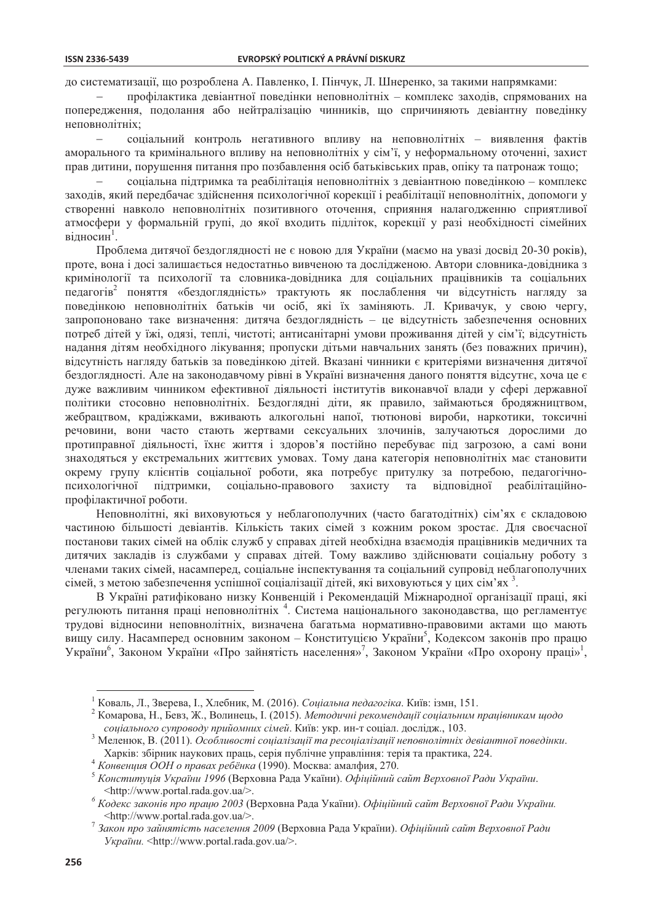до систематизації, що розроблена А. Павленко, І. Пінчук, Л. Шнеренко, за такими напрямками:

профілактика девіантної поведінки неповнолітніх - комплекс заходів, спрямованих на попередження, подолання або нейтралізацію чинників, що спричиняють девіантну поведінку неповнолітніх;

соціальний контроль негативного впливу на неповнолітніх - виявлення фактів  $\equiv$ аморального та кримінального впливу на неповнолітніх у сім'ї, у неформальному оточенні, захист прав дитини, порушення питання про позбавлення осіб батьківських прав, опіку та патронаж тощо;

соціальна пілтримка та реабілітація неповнолітніх з девіантною повелінкою – комплекс заходів, який передбачає здійснення психологічної корекції і реабілітації неповнолітніх, допомоги у створенні навколо неповнолітніх позитивного оточення, сприяння налагодженню сприятливої атмосфери у формальній групі, до якої входить підліток, корекції у разі необхідності сімейних вілносин<sup>1</sup>.

Проблема дитячої бездоглядності не є новою для України (маємо на увазі досвід 20-30 років), проте, вона і досі залишається недостатньо вивченою та дослідженою. Автори словника-довідника з кримінології та психології та словника-довідника для соціальних працівників та соціальних педагогів<sup>2</sup> поняття «бездоглядність» трактують як послаблення чи відсутність нагляду за поведінкою неповнолітніх батьків чи осіб, які їх заміняють. Л. Кривачук, у свою чергу, запропоновано таке визначення: дитяча бездоглядність - це відсутність забезпечення основних потреб дітей у їжі, одязі, теплі, чистоті; антисанітарні умови проживання дітей у сім'ї; відсутність надання дітям необхідного лікування; пропуски дітьми навчальних занять (без поважних причин), відсутність нагляду батьків за поведінкою дітей. Вказані чинники є критеріями визначення дитячої бездоглядності. Але на законодавчому рівні в Україні визначення даного поняття відсутнє, хоча це є дуже важливим чинником ефективної діяльності інститутів виконавчої влади у сфері державної політики стосовно неповнолітніх. Безлоглялні літи, як правило, займаються бродяжництвом, жебрацтвом, крадіжками, вживають алкогольні напої, тютюнові вироби, наркотики, токсичні речовини, вони часто стають жертвами сексуальних злочинів, залучаються дорослими до протиправної діяльності, їхнє життя і здоров'я постійно перебуває під загрозою, а самі вони знаходяться у екстремальних життєвих умовах. Тому дана категорія неповнолітніх має становити окрему групу клієнтів соціальної роботи, яка потребує притулку за потребою, педагогічносоціально-правового захисту та відповідної психологічної підтримки, реабілітаційнопрофілактичної роботи.

Неповнолітні, які виховуються у неблагополучних (часто багатолітніх) сім'ях є складовою частиною більшості девіантів. Кількість таких сімей з кожним роком зростає. Для своєчасної постанови таких сімей на облік служб у справах дітей необхідна взаємодія працівників медичних та дитячих закладів із службами у справах дітей. Тому важливо здійснювати соціальну роботу з членами таких сімей, насамперед, соціальне інспектування та соціальний супровід неблагополучних сімей, з метою забезпечення успішної соціалізації дітей, які виховуються у цих сім'ях 3.

В Україні ратифіковано низку Конвенцій і Рекомендацій Міжнародної організації праці, які регулюють питання праці неповнолітніх<sup>4</sup>. Система національного законодавства, що регламентує трудові відносини неповнолітніх, визначена багатьма нормативно-правовими актами що мають вищу силу. Насамперед основним законом - Конституцією України<sup>5</sup>, Кодексом законів про працю України<sup>6</sup>, Законом України «Про зайнятість населення»<sup>7</sup>, Законом України «Про охорону праці»<sup>1</sup>,

<sup>&</sup>lt;sup>1</sup> Коваль, Л., Зверева, І., Хлебник, М. (2016). *Соціальна педагогіка*, Київ: ізмн, 151.

<sup>&</sup>lt;sup>2</sup> Комарова, Н., Бевз, Ж., Волинець, І. (2015). Методичні рекомендації соціальним працівникам щодо соціального супроводу прийомних сімей. Київ: укр. ин-т соціал. дослідж., 103.

Меленюк, В. (2011). Особливості соціалізації та ресоціалізації неповнолітніх девіантної поведінки. Харків: збірник наукових праць, серія публічне управління: терія та практика, 224.

Конвениия ООН о правах ребёнка (1990). Москва: амалфия, 270.

<sup>&</sup>lt;sup>5</sup> Конституція України 1996 (Верховна Рада Укаїни). Офіційний сайт Верховної Ради України. <http://www.portal.rada.gov.ua/>.

Кодекс законів про працю 2003 (Верховна Рада Укаїни). Офіційний сайт Верховної Ради України. <http://www.portal.rada.gov.ua/>.

 $\frac{7}{7}$ Закон про зайнятість населення 2009 (Верховна Рада України). Офіційний сайт Верховної Ради України. <http://www.portal.rada.gov.ua/>.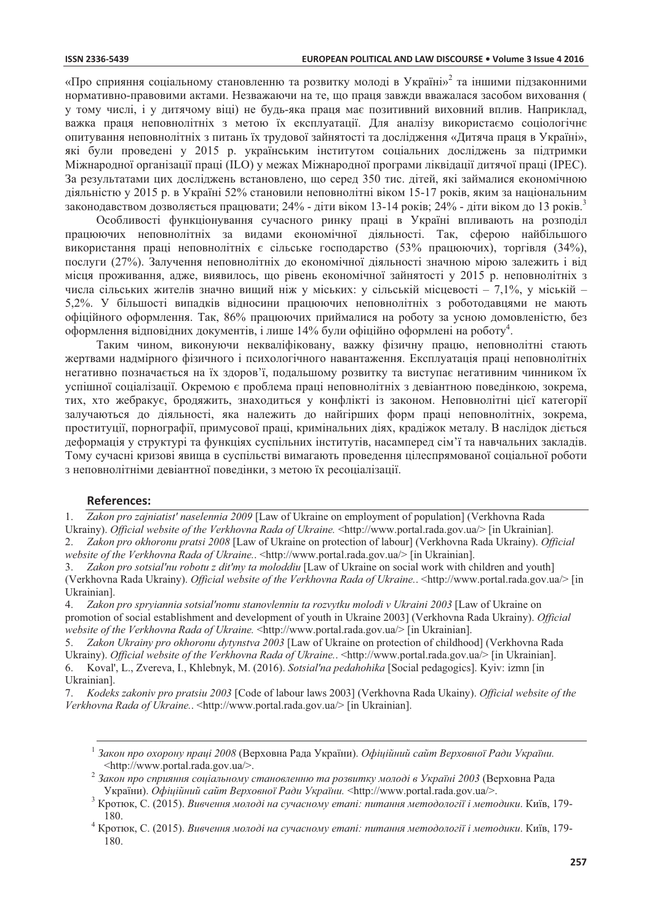#### **ISSN 2336-5439**

«Про сприяння соціальному становленню та розвитку молоді в Україні»<sup>2</sup> та іншими підзаконними нормативно-правовими актами. Незважаючи на те, що праця завжди вважалася засобом виховання ( у тому числі, і у дитячому віці) не будь-яка праця має позитивний виховний вплив. Наприклад, важка праця неповнолітніх з метою їх експлуатації. Для аналізу використаємо соціологічнє опитування неповнолітніх з питань їх трудової зайнятості та дослідження «Дитяча праця в Україні», які були проведені у 2015 р. українським інститутом соціальних досліджень за підтримки Міжнародної організації праці (ILO) у межах Міжнародної програми ліквідації дитячої праці (IPEC). За результатами цих досліджень встановлено, що серед 350 тис. дітей, які займалися економічною діяльністю у 2015 р. в Україні 52% становили неповнолітні віком 15-17 років, яким за національним законодавством дозволяється працювати; 24% - діти віком 13-14 років; 24% - діти віком до 13 років.<sup>3</sup>

Особливості функціонування сучасного ринку праці в Україні впливають на розподіл працюючих неповнолітніх за видами економічної діяльності. Так, сферою найбільшого використання праці неповнолітніх є сільське господарство (53% працюючих), торгівля (34%), послуги (27%). Залучення неповнолітніх до економічної діяльності значною мірою залежить і від місця проживання, адже, виявилось, що рівень економічної зайнятості у 2015 р. неповнолітніх з числа сільських жителів значно вищий ніж у міських: у сільській місцевості - 7,1%, у міській -5,2%. У більшості випадків відносини працюючих неповнолітніх з роботодавцями не мають офіційного оформлення. Так, 86% працюючих приймалися на роботу за усною домовленістю, без оформлення відповідних документів, і лише 14% були офіційно оформлені на роботу<sup>4</sup>.

Таким чином, виконуючи некваліфіковану, важку фізичну працю, неповнолітні стають жертвами надмірного фізичного і психологічного навантаження. Експлуатація праці неповнолітніх негативно позначається на їх здоров'ї, подальшому розвитку та виступає негативним чинником їх успішної соціалізації. Окремою є проблема праці неповнолітніх з девіантною поведінкою, зокрема, тих, хто жебракує, бродяжить, знаходиться у конфлікті із законом. Неповнолітні цієї категорії залучаються до діяльності, яка належить до найгірших форм праці неповнолітніх, зокрема, проституції, порнографії, примусової праці, кримінальних діях, крадіжок металу. В наслідок діється деформація у структурі та функціях суспільних інститутів, насамперед сім'ї та навчальних закладів. Тому сучасні кризові явища в суспільстві вимагають проведення цілеспрямованої соціальної роботи з неповнолітніми девіантної поведінки, з метою їх ресоціалізації.

#### **References:**

 $1.$ Zakon pro zajniatist' naselennia 2009 [Law of Ukraine on employment of population] (Verkhovna Rada Ukrainy). Official website of the Verkhovna Rada of Ukraine. <http://www.portal.rada.gov.ua/> [in Ukrainian].

Zakon pro okhoronu pratsi 2008 [Law of Ukraine on protection of labour] (Verkhovna Rada Ukrainy). Official  $\mathcal{D}$ website of the Verkhovna Rada of Ukraine..<http://www.portal.rada.gov.ua/> [in Ukrainian].

 $\mathcal{Z}$ Zakon pro sotsial'nu robotu z dit'my ta moloddiu [Law of Ukraine on social work with children and youth] (Verkhovna Rada Ukrainy). Official website of the Verkhovna Rada of Ukraine.. < http://www.portal.rada.gov.ua/> [in Ukrainian].

Zakon pro spryiannia sotsial'nomu stanovlenniu ta rozvytku molodi v Ukraini 2003 [Law of Ukraine on 4. promotion of social establishment and development of youth in Ukraine 2003] (Verkhovna Rada Ukrainy). Official website of the Verkhovna Rada of Ukraine. <http://www.portal.rada.gov.ua/> [in Ukrainian].

Zakon Ukrainy pro okhoronu dytynstva 2003 [Law of Ukraine on protection of childhood] (Verkhovna Rada Ukrainy). Official website of the Verkhovna Rada of Ukraine.. <http://www.portal.rada.gov.ua/> [in Ukrainian]. Koval', L., Zvereva, I., Khlebnyk, M. (2016). Sotsial'na pedahohika [Social pedagogics]. Kyiy: izmn [in 6. Ukrainianl.

Kodeks zakoniv pro pratsiu 2003 [Code of labour laws 2003] (Verkhovna Rada Ukainy). Official website of the  $7<sup>1</sup>$ Verkhovna Rada of Ukraine..<http://www.portal.rada.gov.ua/> [in Ukrainian].

Закон про охорону праці 2008 (Верховна Рада України). Офіційний сайт Верховної Ради України. <http://www.portal.rada.gov.ua/>.

 $\overline{c}$ Закон про сприяння соціальному становленню та розвитку молоді в Україні 2003 (Верховна Рада України). Офіційний сайт Верховної Ради України. <http://www.portal.rada.gov.ua/>.

Кротюк, С. (2015). Вивчення молоді на сучасному етапі: питання методології і методики. Київ, 179-180.

 $^4$  Кротюк, С. (2015). Вивчення молоді на сучасному етапі: питання методології і методики. Київ, 179-180